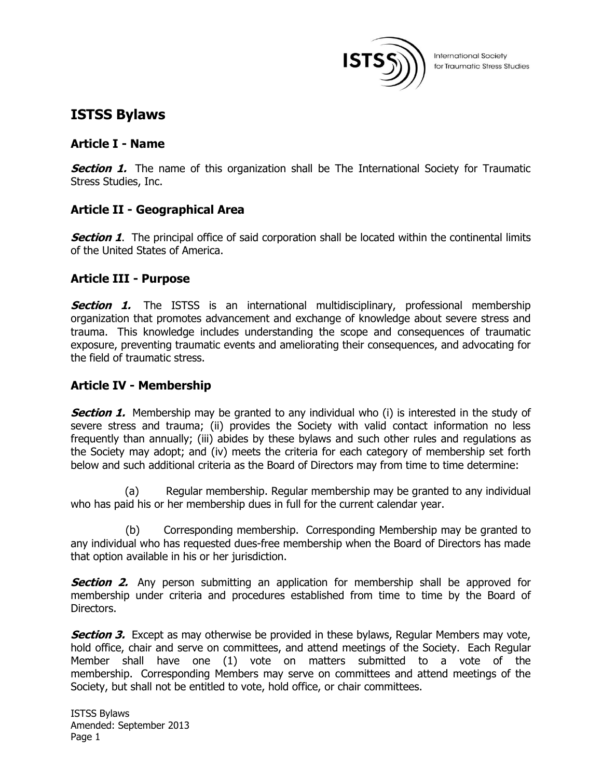

# **ISTSS Bylaws**

## **Article I - Name**

**Section 1.** The name of this organization shall be The International Society for Traumatic Stress Studies, Inc.

# **Article II - Geographical Area**

**Section 1.** The principal office of said corporation shall be located within the continental limits of the United States of America.

## **Article III - Purpose**

**Section 1.** The ISTSS is an international multidisciplinary, professional membership organization that promotes advancement and exchange of knowledge about severe stress and trauma. This knowledge includes understanding the scope and consequences of traumatic exposure, preventing traumatic events and ameliorating their consequences, and advocating for the field of traumatic stress.

# **Article IV - Membership**

**Section 1.** Membership may be granted to any individual who (i) is interested in the study of severe stress and trauma; (ii) provides the Society with valid contact information no less frequently than annually; (iii) abides by these bylaws and such other rules and regulations as the Society may adopt; and (iv) meets the criteria for each category of membership set forth below and such additional criteria as the Board of Directors may from time to time determine:

 (a) Regular membership. Regular membership may be granted to any individual who has paid his or her membership dues in full for the current calendar year.

 (b) Corresponding membership. Corresponding Membership may be granted to any individual who has requested dues-free membership when the Board of Directors has made that option available in his or her jurisdiction.

**Section 2.** Any person submitting an application for membership shall be approved for membership under criteria and procedures established from time to time by the Board of Directors.

**Section 3.** Except as may otherwise be provided in these bylaws, Regular Members may vote, hold office, chair and serve on committees, and attend meetings of the Society. Each Regular Member shall have one (1) vote on matters submitted to a vote of the membership. Corresponding Members may serve on committees and attend meetings of the Society, but shall not be entitled to vote, hold office, or chair committees.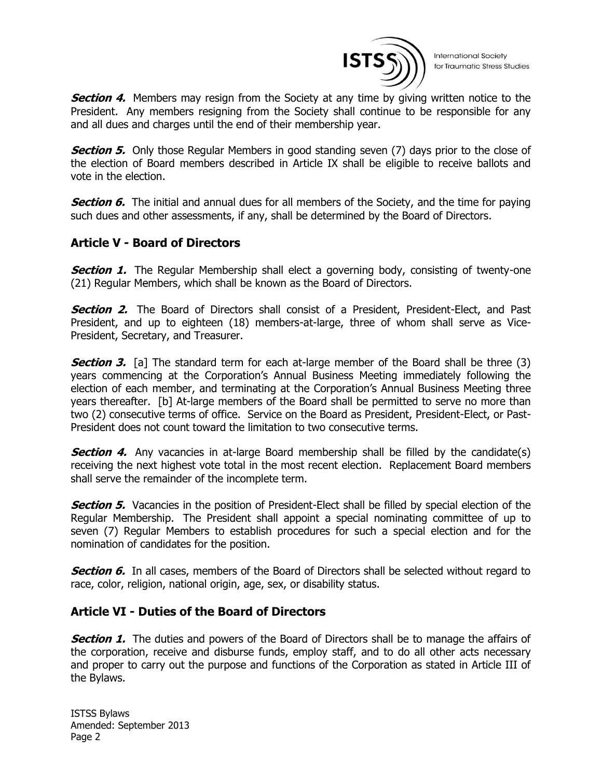

**International Society** for Traumatic Stress Studies

**Section 4.** Members may resign from the Society at any time by giving written notice to the President. Any members resigning from the Society shall continue to be responsible for any and all dues and charges until the end of their membership year.

**Section 5.** Only those Regular Members in good standing seven (7) days prior to the close of the election of Board members described in Article IX shall be eligible to receive ballots and vote in the election.

**Section 6.** The initial and annual dues for all members of the Society, and the time for paying such dues and other assessments, if any, shall be determined by the Board of Directors.

## **Article V - Board of Directors**

**Section 1.** The Regular Membership shall elect a governing body, consisting of twenty-one (21) Regular Members, which shall be known as the Board of Directors.

**Section 2.** The Board of Directors shall consist of a President, President-Elect, and Past President, and up to eighteen (18) members-at-large, three of whom shall serve as Vice-President, Secretary, and Treasurer.

**Section 3.** [a] The standard term for each at-large member of the Board shall be three (3) years commencing at the Corporation's Annual Business Meeting immediately following the election of each member, and terminating at the Corporation's Annual Business Meeting three years thereafter. [b] At-large members of the Board shall be permitted to serve no more than two (2) consecutive terms of office. Service on the Board as President, President-Elect, or Past-President does not count toward the limitation to two consecutive terms.

**Section 4.** Any vacancies in at-large Board membership shall be filled by the candidate(s) receiving the next highest vote total in the most recent election. Replacement Board members shall serve the remainder of the incomplete term.

**Section 5.** Vacancies in the position of President-Elect shall be filled by special election of the Regular Membership. The President shall appoint a special nominating committee of up to seven (7) Regular Members to establish procedures for such a special election and for the nomination of candidates for the position.

**Section 6.** In all cases, members of the Board of Directors shall be selected without regard to race, color, religion, national origin, age, sex, or disability status.

## **Article VI - Duties of the Board of Directors**

**Section 1.** The duties and powers of the Board of Directors shall be to manage the affairs of the corporation, receive and disburse funds, employ staff, and to do all other acts necessary and proper to carry out the purpose and functions of the Corporation as stated in Article III of the Bylaws.

ISTSS Bylaws Amended: September 2013 Page 2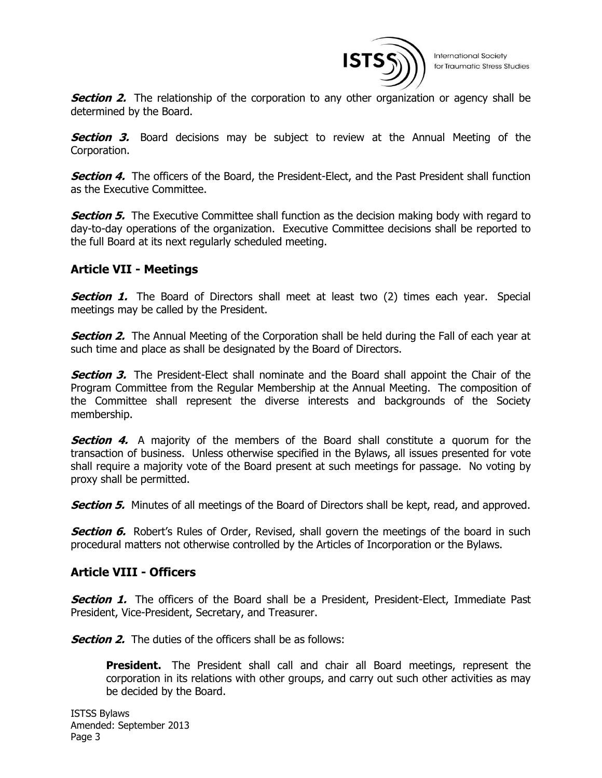

**Section 2.** The relationship of the corporation to any other organization or agency shall be determined by the Board.

**Section 3.** Board decisions may be subject to review at the Annual Meeting of the Corporation.

**Section 4.** The officers of the Board, the President-Elect, and the Past President shall function as the Executive Committee.

**Section 5.** The Executive Committee shall function as the decision making body with regard to day-to-day operations of the organization. Executive Committee decisions shall be reported to the full Board at its next regularly scheduled meeting.

## **Article VII - Meetings**

**Section 1.** The Board of Directors shall meet at least two (2) times each year. Special meetings may be called by the President.

**Section 2.** The Annual Meeting of the Corporation shall be held during the Fall of each year at such time and place as shall be designated by the Board of Directors.

**Section 3.** The President-Elect shall nominate and the Board shall appoint the Chair of the Program Committee from the Regular Membership at the Annual Meeting. The composition of the Committee shall represent the diverse interests and backgrounds of the Society membership.

**Section 4.** A majority of the members of the Board shall constitute a quorum for the transaction of business. Unless otherwise specified in the Bylaws, all issues presented for vote shall require a majority vote of the Board present at such meetings for passage. No voting by proxy shall be permitted.

**Section 5.** Minutes of all meetings of the Board of Directors shall be kept, read, and approved.

**Section 6.** Robert's Rules of Order, Revised, shall govern the meetings of the board in such procedural matters not otherwise controlled by the Articles of Incorporation or the Bylaws.

#### **Article VIII - Officers**

**Section 1.** The officers of the Board shall be a President, President-Elect, Immediate Past President, Vice-President, Secretary, and Treasurer.

**Section 2.** The duties of the officers shall be as follows:

**President.** The President shall call and chair all Board meetings, represent the corporation in its relations with other groups, and carry out such other activities as may be decided by the Board.

ISTSS Bylaws Amended: September 2013 Page 3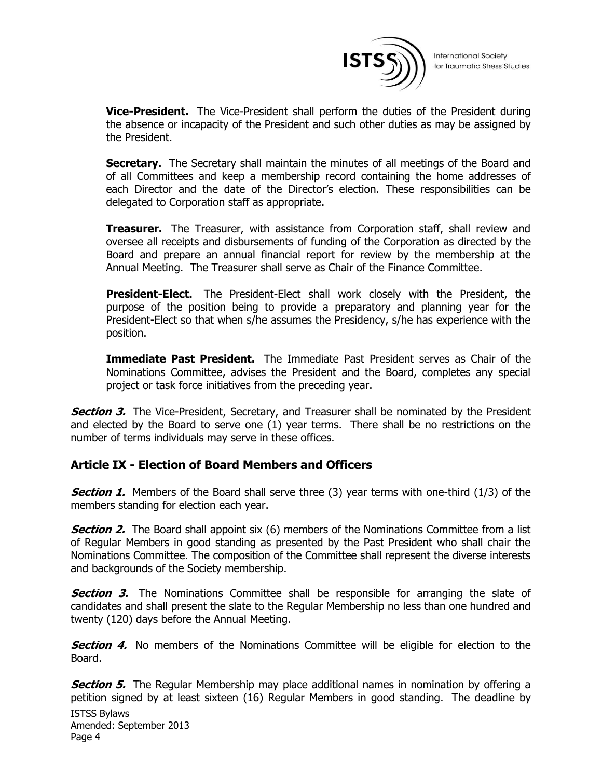

**Vice-President.** The Vice-President shall perform the duties of the President during the absence or incapacity of the President and such other duties as may be assigned by the President.

Secretary. The Secretary shall maintain the minutes of all meetings of the Board and of all Committees and keep a membership record containing the home addresses of each Director and the date of the Director's election. These responsibilities can be delegated to Corporation staff as appropriate.

**Treasurer.** The Treasurer, with assistance from Corporation staff, shall review and oversee all receipts and disbursements of funding of the Corporation as directed by the Board and prepare an annual financial report for review by the membership at the Annual Meeting. The Treasurer shall serve as Chair of the Finance Committee.

**President-Elect.** The President-Elect shall work closely with the President, the purpose of the position being to provide a preparatory and planning year for the President-Elect so that when s/he assumes the Presidency, s/he has experience with the position.

**Immediate Past President.** The Immediate Past President serves as Chair of the Nominations Committee, advises the President and the Board, completes any special project or task force initiatives from the preceding year.

**Section 3.** The Vice-President, Secretary, and Treasurer shall be nominated by the President and elected by the Board to serve one (1) year terms. There shall be no restrictions on the number of terms individuals may serve in these offices.

#### **Article IX - Election of Board Members and Officers**

**Section 1.** Members of the Board shall serve three (3) year terms with one-third (1/3) of the members standing for election each year.

**Section 2.** The Board shall appoint six (6) members of the Nominations Committee from a list of Regular Members in good standing as presented by the Past President who shall chair the Nominations Committee. The composition of the Committee shall represent the diverse interests and backgrounds of the Society membership.

**Section 3.** The Nominations Committee shall be responsible for arranging the slate of candidates and shall present the slate to the Regular Membership no less than one hundred and twenty (120) days before the Annual Meeting.

**Section 4.** No members of the Nominations Committee will be eligible for election to the Board.

ISTSS Bylaws Amended: September 2013 Page 4 **Section 5.** The Regular Membership may place additional names in nomination by offering a petition signed by at least sixteen (16) Regular Members in good standing. The deadline by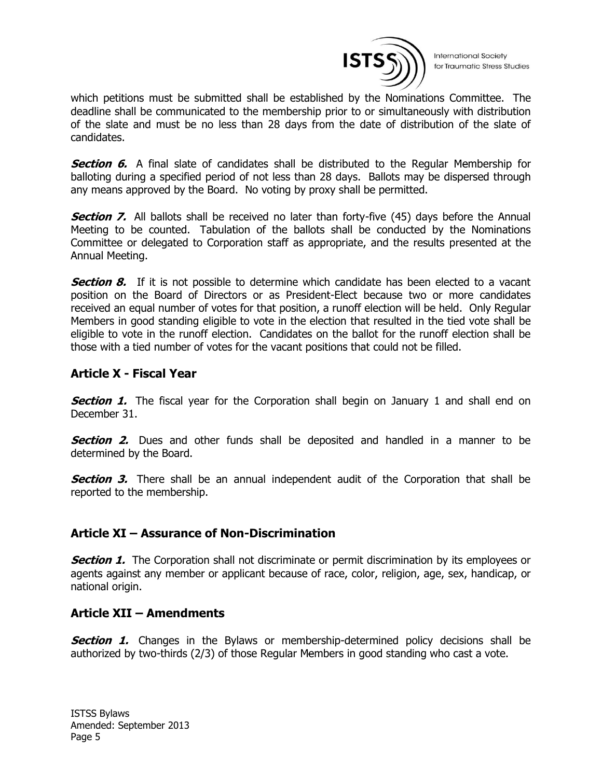

**International Society** for Traumatic Stress Studies

which petitions must be submitted shall be established by the Nominations Committee. The deadline shall be communicated to the membership prior to or simultaneously with distribution of the slate and must be no less than 28 days from the date of distribution of the slate of candidates.

**Section 6.** A final slate of candidates shall be distributed to the Regular Membership for balloting during a specified period of not less than 28 days. Ballots may be dispersed through any means approved by the Board. No voting by proxy shall be permitted.

**Section 7.** All ballots shall be received no later than forty-five (45) days before the Annual Meeting to be counted. Tabulation of the ballots shall be conducted by the Nominations Committee or delegated to Corporation staff as appropriate, and the results presented at the Annual Meeting.

**Section 8.** If it is not possible to determine which candidate has been elected to a vacant position on the Board of Directors or as President-Elect because two or more candidates received an equal number of votes for that position, a runoff election will be held. Only Regular Members in good standing eligible to vote in the election that resulted in the tied vote shall be eligible to vote in the runoff election. Candidates on the ballot for the runoff election shall be those with a tied number of votes for the vacant positions that could not be filled.

## **Article X - Fiscal Year**

**Section 1.** The fiscal year for the Corporation shall begin on January 1 and shall end on December 31.

**Section 2.** Dues and other funds shall be deposited and handled in a manner to be determined by the Board.

**Section 3.** There shall be an annual independent audit of the Corporation that shall be reported to the membership.

## **Article XI – Assurance of Non-Discrimination**

**Section 1.** The Corporation shall not discriminate or permit discrimination by its employees or agents against any member or applicant because of race, color, religion, age, sex, handicap, or national origin.

#### **Article XII – Amendments**

**Section 1.** Changes in the Bylaws or membership-determined policy decisions shall be authorized by two-thirds (2/3) of those Regular Members in good standing who cast a vote.